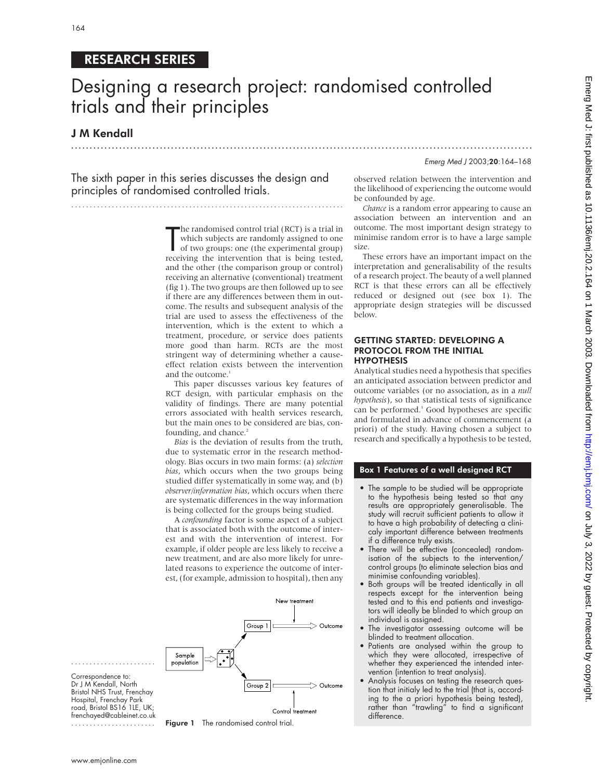# RESEARCH SERIES

# Designing a research project: randomised controlled trials and their principles

.............................................................................................................................

## J M Kendall

Emerg Med J 2003;20:164–168

The sixth paper in this series discusses the design and principles of randomised controlled trials.

..........................................................................

The randomised control trial (RCT) is a trial in<br>which subjects are randomly assigned to one<br>of two groups: one (the experimental group)<br>receiving the intervention that is being tested, he randomised control trial (RCT) is a trial in which subjects are randomly assigned to one of two groups: one (the experimental group) and the other (the comparison group or control) receiving an alternative (conventional) treatment (fig 1). The two groups are then followed up to see if there are any differences between them in outcome. The results and subsequent analysis of the trial are used to assess the effectiveness of the intervention, which is the extent to which a treatment, procedure, or service does patients more good than harm. RCTs are the most stringent way of determining whether a causeeffect relation exists between the intervention and the outcome.<sup>1</sup>

This paper discusses various key features of RCT design, with particular emphasis on the validity of findings. There are many potential errors associated with health services research, but the main ones to be considered are bias, confounding, and chance.<sup>2</sup>

*Bias* is the deviation of results from the truth, due to systematic error in the research methodology. Bias occurs in two main forms: (a) *selection bias*, which occurs when the two groups being studied differ systematically in some way, and (b) *observer/information bias*, which occurs when there are systematic differences in the way information is being collected for the groups being studied.

A *confounding* factor is some aspect of a subject that is associated both with the outcome of interest and with the intervention of interest. For example, if older people are less likely to receive a new treatment, and are also more likely for unrelated reasons to experience the outcome of interest, (for example, admission to hospital), then any



Correspondence to: Dr J M Kendall, North Bristol NHS Trust, Frenchay Hospital, Frenchay Park road, Bristol BS16 1LE, UK; frenchayed@cableinet.co.uk .......................

.......................



observed relation between the intervention and the likelihood of experiencing the outcome would be confounded by age.

*Chance* is a random error appearing to cause an association between an intervention and an outcome. The most important design strategy to minimise random error is to have a large sample size.

These errors have an important impact on the interpretation and generalisability of the results of a research project. The beauty of a well planned RCT is that these errors can all be effectively reduced or designed out (see box 1). The appropriate design strategies will be discussed below.

#### GETTING STARTED: DEVELOPING A PROTOCOL FROM THE INITIAL HYPOTHESIS

Analytical studies need a hypothesis that specifies an anticipated association between predictor and outcome variables (or no association, as in a *null hypothesis*), so that statistical tests of significance can be performed.<sup>3</sup> Good hypotheses are specific and formulated in advance of commencement (a priori) of the study. Having chosen a subject to research and specifically a hypothesis to be tested,

### Box 1 Features of a well designed RCT

- The sample to be studied will be appropriate to the hypothesis being tested so that any results are appropriately generalisable. The study will recruit sufficient patients to allow it to have a high probability of detecting a clinicaly important difference between treatments if a difference truly exists.
- There will be effective (concealed) randomisation of the subjects to the intervention/ control groups (to eliminate selection bias and minimise confounding variables).
- Both groups will be treated identically in all respects except for the intervention being tested and to this end patients and investigators will ideally be blinded to which group an individual is assigned.
- The investigator assessing outcome will be blinded to treatment allocation.
- Patients are analysed within the group to which they were allocated, irrespective of whether they experienced the intended intervention (intention to treat analysis).
- Analysis focuses on testing the research question that initialy led to the trial (that is, according to the a priori hypothesis being tested), rather than "trawling" to find a significant difference.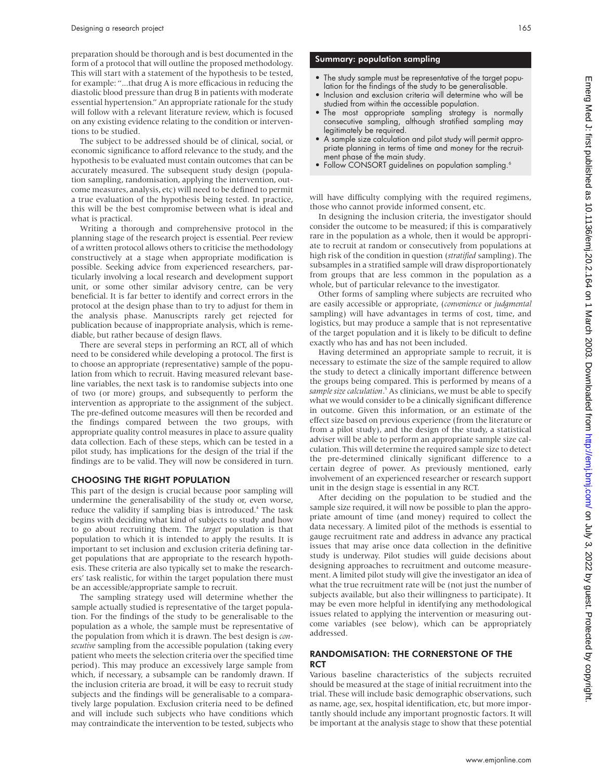preparation should be thorough and is best documented in the form of a protocol that will outline the proposed methodology. This will start with a statement of the hypothesis to be tested, for example: "...that drug A is more efficacious in reducing the diastolic blood pressure than drug B in patients with moderate essential hypertension." An appropriate rationale for the study will follow with a relevant literature review, which is focused on any existing evidence relating to the condition or interventions to be studied.

The subject to be addressed should be of clinical, social, or economic significance to afford relevance to the study, and the hypothesis to be evaluated must contain outcomes that can be accurately measured. The subsequent study design (population sampling, randomisation, applying the intervention, outcome measures, analysis, etc) will need to be defined to permit a true evaluation of the hypothesis being tested. In practice, this will be the best compromise between what is ideal and what is practical.

Writing a thorough and comprehensive protocol in the planning stage of the research project is essential. Peer review of a written protocol allows others to criticise the methodology constructively at a stage when appropriate modification is possible. Seeking advice from experienced researchers, particularly involving a local research and development support unit, or some other similar advisory centre, can be very beneficial. It is far better to identify and correct errors in the protocol at the design phase than to try to adjust for them in the analysis phase. Manuscripts rarely get rejected for publication because of inappropriate analysis, which is remediable, but rather because of design flaws.

There are several steps in performing an RCT, all of which need to be considered while developing a protocol. The first is to choose an appropriate (representative) sample of the population from which to recruit. Having measured relevant baseline variables, the next task is to randomise subjects into one of two (or more) groups, and subsequently to perform the intervention as appropriate to the assignment of the subject. The pre-defined outcome measures will then be recorded and the findings compared between the two groups, with appropriate quality control measures in place to assure quality data collection. Each of these steps, which can be tested in a pilot study, has implications for the design of the trial if the findings are to be valid. They will now be considered in turn.

#### CHOOSING THE RIGHT POPULATION

This part of the design is crucial because poor sampling will undermine the generalisability of the study or, even worse, reduce the validity if sampling bias is introduced.<sup>4</sup> The task begins with deciding what kind of subjects to study and how to go about recruiting them. The *target* population is that population to which it is intended to apply the results. It is important to set inclusion and exclusion criteria defining target populations that are appropriate to the research hypothesis. These criteria are also typically set to make the researchers' task realistic, for within the target population there must be an accessible/appropriate sample to recruit.

The sampling strategy used will determine whether the sample actually studied is representative of the target population. For the findings of the study to be generalisable to the population as a whole, the sample must be representative of the population from which it is drawn. The best design is *consecutive* sampling from the accessible population (taking every patient who meets the selection criteria over the specified time period). This may produce an excessively large sample from which, if necessary, a subsample can be randomly drawn. If the inclusion criteria are broad, it will be easy to recruit study subjects and the findings will be generalisable to a comparatively large population. Exclusion criteria need to be defined and will include such subjects who have conditions which may contraindicate the intervention to be tested, subjects who

#### Summary: population sampling

- The study sample must be representative of the target population for the findings of the study to be generalisable.
- Inclusion and exclusion criteria will determine who will be studied from within the accessible population.
- The most appropriate sampling strategy is normally consecutive sampling, although stratified sampling may legitimately be required.
- A sample size calculation and pilot study will permit appropriate planning in terms of time and money for the recruitment phase of the main study.
- Follow CONSORT guidelines on population sampling.<sup>6</sup>

will have difficulty complying with the required regimens, those who cannot provide informed consent, etc.

In designing the inclusion criteria, the investigator should consider the outcome to be measured; if this is comparatively rare in the population as a whole, then it would be appropriate to recruit at random or consecutively from populations at high risk of the condition in question (*stratified* sampling). The subsamples in a stratified sample will draw disproportionately from groups that are less common in the population as a whole, but of particular relevance to the investigator.

Other forms of sampling where subjects are recruited who are easily accessible or appropriate, (*convenience* or *judgmental* sampling) will have advantages in terms of cost, time, and logistics, but may produce a sample that is not representative of the target population and it is likely to be dificult to define exactly who has and has not been included.

Having determined an appropriate sample to recruit, it is necessary to estimate the size of the sample required to allow the study to detect a clinically important difference between the groups being compared. This is performed by means of a sample size calculation.<sup>5</sup> As clinicians, we must be able to specify what we would consider to be a clinically significant difference in outcome. Given this information, or an estimate of the effect size based on previous experience (from the literature or from a pilot study), and the design of the study, a statistical adviser will be able to perform an appropriate sample size calculation. This will determine the required sample size to detect the pre-determined clinically significant difference to a certain degree of power. As previously mentioned, early involvement of an experienced researcher or research support unit in the design stage is essential in any RCT.

After deciding on the population to be studied and the sample size required, it will now be possible to plan the appropriate amount of time (and money) required to collect the data necessary. A limited pilot of the methods is essential to gauge recruitment rate and address in advance any practical issues that may arise once data collection in the definitive study is underway. Pilot studies will guide decisions about designing approaches to recruitment and outcome measurement. A limited pilot study will give the investigator an idea of what the true recruitment rate will be (not just the number of subjects available, but also their willingness to participate). It may be even more helpful in identifying any methodological issues related to applying the intervention or measuring outcome variables (see below), which can be appropriately addressed.

#### RANDOMISATION: THE CORNERSTONE OF THE **RCT**

Various baseline characteristics of the subjects recruited should be measured at the stage of initial recruitment into the trial. These will include basic demographic observations, such as name, age, sex, hospital identification, etc, but more importantly should include any important prognostic factors. It will be important at the analysis stage to show that these potential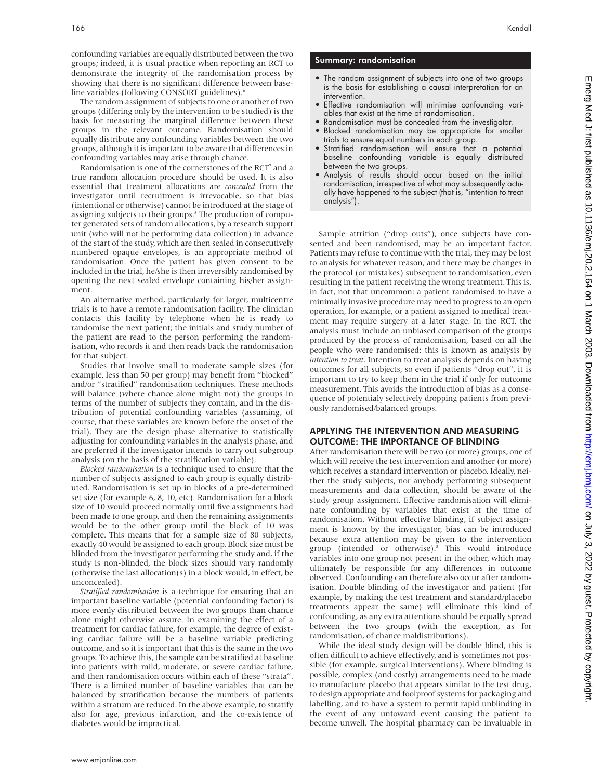confounding variables are equally distributed between the two groups; indeed, it is usual practice when reporting an RCT to demonstrate the integrity of the randomisation process by showing that there is no significant difference between baseline variables (following CONSORT guidelines).<sup>6</sup>

The random assignment of subjects to one or another of two groups (differing only by the intervention to be studied) is the basis for measuring the marginal difference between these groups in the relevant outcome. Randomisation should equally distribute any confounding variables between the two groups, although it is important to be aware that differences in confounding variables may arise through chance.

Randomisation is one of the cornerstones of the RCT<sup>7</sup> and a true random allocation procedure should be used. It is also essential that treatment allocations are *concealed* from the investigator until recruitment is irrevocable, so that bias (intentional or otherwise) cannot be introduced at the stage of assigning subjects to their groups.<sup>8</sup> The production of computer generated sets of random allocations, by a research support unit (who will not be performing data collection) in advance of the start of the study, which are then sealed in consecutively numbered opaque envelopes, is an appropriate method of randomisation. Once the patient has given consent to be included in the trial, he/she is then irreversibly randomised by opening the next sealed envelope containing his/her assignment.

An alternative method, particularly for larger, multicentre trials is to have a remote randomisation facility. The clinician contacts this facility by telephone when he is ready to randomise the next patient; the initials and study number of the patient are read to the person performing the randomisation, who records it and then reads back the randomisation for that subject.

Studies that involve small to moderate sample sizes (for example, less than 50 per group) may benefit from "blocked" and/or "stratified" randomisation techniques. These methods will balance (where chance alone might not) the groups in terms of the number of subjects they contain, and in the distribution of potential confounding variables (assuming, of course, that these variables are known before the onset of the trial). They are the design phase alternative to statistically adjusting for confounding variables in the analysis phase, and are preferred if the investigator intends to carry out subgroup analysis (on the basis of the stratification variable).

*Blocked randomisation* is a technique used to ensure that the number of subjects assigned to each group is equally distributed. Randomisation is set up in blocks of a pre-determined set size (for example 6, 8, 10, etc). Randomisation for a block size of 10 would proceed normally until five assignments had been made to one group, and then the remaining assignments would be to the other group until the block of 10 was complete. This means that for a sample size of 80 subjects, exactly 40 would be assigned to each group. Block size must be blinded from the investigator performing the study and, if the study is non-blinded, the block sizes should vary randomly (otherwise the last allocation(s) in a block would, in effect, be unconcealed).

*Stratified randomisation* is a technique for ensuring that an important baseline variable (potential confounding factor) is more evenly distributed between the two groups than chance alone might otherwise assure. In examining the effect of a treatment for cardiac failure, for example, the degree of existing cardiac failure will be a baseline variable predicting outcome, and so it is important that this is the same in the two groups. To achieve this, the sample can be stratified at baseline into patients with mild, moderate, or severe cardiac failure, and then randomisation occurs within each of these "strata". There is a limited number of baseline variables that can be balanced by stratification because the numbers of patients within a stratum are reduced. In the above example, to stratify also for age, previous infarction, and the co-existence of diabetes would be impractical.

#### Summary: randomisation

- The random assignment of subjects into one of two groups is the basis for establishing a causal interpretation for an intervention.
- Effective randomisation will minimise confounding variables that exist at the time of randomisation.
- Randomisation must be concealed from the investigator. • Blocked randomisation may be appropriate for smaller trials to ensure equal numbers in each group.
- Stratified randomisation will ensure that a potential baseline confounding variable is equally distributed between the two groups.
- Analysis of results should occur based on the initial randomisation, irrespective of what may subsequently actually have happened to the subject (that is, "intention to treat analysis").

Sample attrition ("drop outs"), once subjects have consented and been randomised, may be an important factor. Patients may refuse to continue with the trial, they may be lost to analysis for whatever reason, and there may be changes in the protocol (or mistakes) subsequent to randomisation, even resulting in the patient receiving the wrong treatment. This is, in fact, not that uncommon: a patient randomised to have a minimally invasive procedure may need to progress to an open operation, for example, or a patient assigned to medical treatment may require surgery at a later stage. In the RCT, the analysis must include an unbiased comparison of the groups produced by the process of randomisation, based on all the people who were randomised; this is known as analysis by *intention to treat*. Intention to treat analysis depends on having outcomes for all subjects, so even if patients "drop out", it is important to try to keep them in the trial if only for outcome measurement. This avoids the introduction of bias as a consequence of potentialy selectively dropping patients from previously randomised/balanced groups.

#### APPLYING THE INTERVENTION AND MEASURING OUTCOME: THE IMPORTANCE OF BLINDING

After randomisation there will be two (or more) groups, one of which will receive the test intervention and another (or more) which receives a standard intervention or placebo. Ideally, neither the study subjects, nor anybody performing subsequent measurements and data collection, should be aware of the study group assignment. Effective randomisation will eliminate confounding by variables that exist at the time of randomisation. Without effective blinding, if subject assignment is known by the investigator, bias can be introduced because extra attention may be given to the intervention group (intended or otherwise).<sup>8</sup> This would introduce variables into one group not present in the other, which may ultimately be responsible for any differences in outcome observed. Confounding can therefore also occur after randomisation. Double blinding of the investigator and patient (for example, by making the test treatment and standard/placebo treatments appear the same) will eliminate this kind of confounding, as any extra attentions should be equally spread between the two groups (with the exception, as for randomisation, of chance maldistributions).

While the ideal study design will be double blind, this is often difficult to achieve effectively, and is sometimes not possible (for example, surgical interventions). Where blinding is possible, complex (and costly) arrangements need to be made to manufacture placebo that appears similar to the test drug, to design appropriate and foolproof systems for packaging and labelling, and to have a system to permit rapid unblinding in the event of any untoward event causing the patient to become unwell. The hospital pharmacy can be invaluable in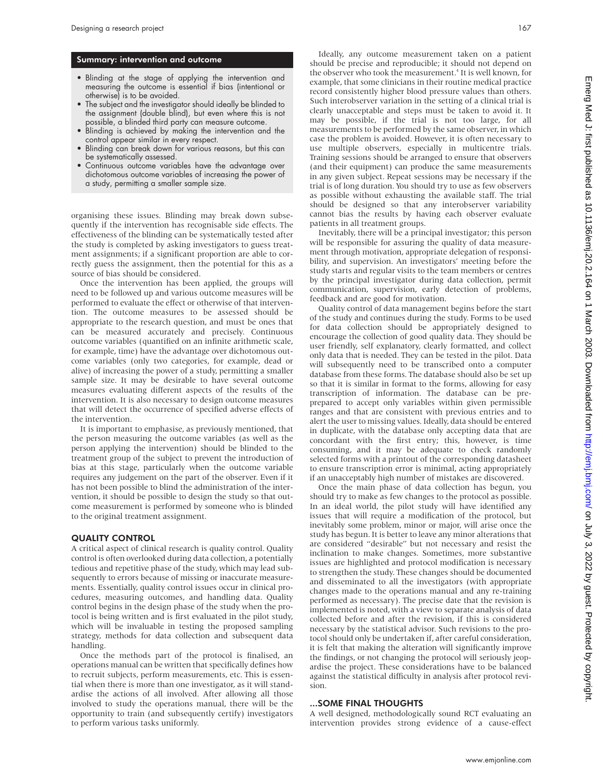#### Summary: intervention and outcome

- Blinding at the stage of applying the intervention and measuring the outcome is essential if bias (intentional or otherwise) is to be avoided.
- The subject and the investigator should ideally be blinded to the assignment (double blind), but even where this is not possible, a blinded third party can measure outcome.
- Blinding is achieved by making the intervention and the control appear similar in every respect.
- Blinding can break down for various reasons, but this can be systematically assessed.
- Continuous outcome variables have the advantage over dichotomous outcome variables of increasing the power of a study, permitting a smaller sample size.

organising these issues. Blinding may break down subsequently if the intervention has recognisable side effects. The effectiveness of the blinding can be systematically tested after the study is completed by asking investigators to guess treatment assignments; if a significant proportion are able to correctly guess the assignment, then the potential for this as a source of bias should be considered.

Once the intervention has been applied, the groups will need to be followed up and various outcome measures will be performed to evaluate the effect or otherwise of that intervention. The outcome measures to be assessed should be appropriate to the research question, and must be ones that can be measured accurately and precisely. Continuous outcome variables (quantified on an infinite arithmetic scale, for example, time) have the advantage over dichotomous outcome variables (only two categories, for example, dead or alive) of increasing the power of a study, permitting a smaller sample size. It may be desirable to have several outcome measures evaluating different aspects of the results of the intervention. It is also necessary to design outcome measures that will detect the occurrence of specified adverse effects of the intervention.

It is important to emphasise, as previously mentioned, that the person measuring the outcome variables (as well as the person applying the intervention) should be blinded to the treatment group of the subject to prevent the introduction of bias at this stage, particularly when the outcome variable requires any judgement on the part of the observer. Even if it has not been possible to blind the administration of the intervention, it should be possible to design the study so that outcome measurement is performed by someone who is blinded to the original treatment assignment.

#### QUALITY CONTROL

A critical aspect of clinical research is quality control. Quality control is often overlooked during data collection, a potentially tedious and repetitive phase of the study, which may lead subsequently to errors because of missing or inaccurate measurements. Essentially, quality control issues occur in clinical procedures, measuring outcomes, and handling data. Quality control begins in the design phase of the study when the protocol is being written and is first evaluated in the pilot study, which will be invaluable in testing the proposed sampling strategy, methods for data collection and subsequent data handling.

Once the methods part of the protocol is finalised, an operations manual can be written that specifically defines how to recruit subjects, perform measurements, etc. This is essential when there is more than one investigator, as it will standardise the actions of all involved. After allowing all those involved to study the operations manual, there will be the opportunity to train (and subsequently certify) investigators to perform various tasks uniformly.

Ideally, any outcome measurement taken on a patient should be precise and reproducible; it should not depend on the observer who took the measurement.<sup>4</sup> It is well known, for example, that some clinicians in their routine medical practice record consistently higher blood pressure values than others. Such interobserver variation in the setting of a clinical trial is clearly unacceptable and steps must be taken to avoid it. It may be possible, if the trial is not too large, for all measurements to be performed by the same observer, in which case the problem is avoided. However, it is often necessary to use multiple observers, especially in multicentre trials. Training sessions should be arranged to ensure that observers (and their equipment) can produce the same measurements in any given subject. Repeat sessions may be necessary if the trial is of long duration. You should try to use as few observers as possible without exhausting the available staff. The trial should be designed so that any interobserver variability cannot bias the results by having each observer evaluate patients in all treatment groups.

Inevitably, there will be a principal investigator; this person will be responsible for assuring the quality of data measurement through motivation, appropriate delegation of responsibility, and supervision. An investigators' meeting before the study starts and regular visits to the team members or centres by the principal investigator during data collection, permit communication, supervision, early detection of problems, feedback and are good for motivation.

Quality control of data management begins before the start of the study and continues during the study. Forms to be used for data collection should be appropriately designed to encourage the collection of good quality data. They should be user friendly, self explanatory, clearly formatted, and collect only data that is needed. They can be tested in the pilot. Data will subsequently need to be transcribed onto a computer database from these forms. The database should also be set up so that it is similar in format to the forms, allowing for easy transcription of information. The database can be preprepared to accept only variables within given permissible ranges and that are consistent with previous entries and to alert the user to missing values. Ideally, data should be entered in duplicate, with the database only accepting data that are concordant with the first entry; this, however, is time consuming, and it may be adequate to check randomly selected forms with a printout of the corresponding datasheet to ensure transcription error is minimal, acting appropriately if an unacceptably high number of mistakes are discovered.

Once the main phase of data collection has begun, you should try to make as few changes to the protocol as possible. In an ideal world, the pilot study will have identified any issues that will require a modification of the protocol, but inevitably some problem, minor or major, will arise once the study has begun. It is better to leave any minor alterations that are considered "desirable" but not necessary and resist the inclination to make changes. Sometimes, more substantive issues are highlighted and protocol modification is necessary to strengthen the study. These changes should be documented and disseminated to all the investigators (with appropriate changes made to the operations manual and any re-training performed as necessary). The precise date that the revision is implemented is noted, with a view to separate analysis of data collected before and after the revision, if this is considered necessary by the statistical advisor. Such revisions to the protocol should only be undertaken if, after careful consideration, it is felt that making the alteration will significantly improve the findings, or not changing the protocol will seriously jeopardise the project. These considerations have to be balanced against the statistical difficulty in analysis after protocol revision.

#### ...SOME FINAL THOUGHTS

A well designed, methodologically sound RCT evaluating an intervention provides strong evidence of a cause-effect